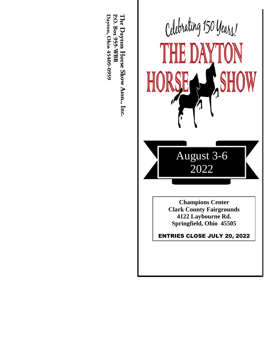

The Dayton Horse Show Assn., Inc.<br>P.O. Box 959-WBB Dayton, Ohio 45409-0959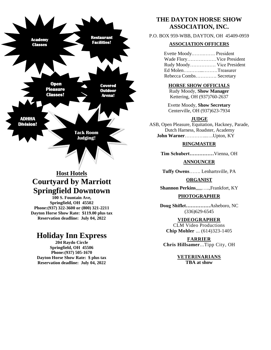

# **Host Hotels Courtyard by Marriott Springfield Downtown**

**100 S. Fountain Ave, Springfield, OH 45502 Phone:(937) 322-3600 or (800) 321-2211 Dayton Horse Show Rate: \$119.00 plus tax Reservation deadline: July 04, 2022**

# **Holiday Inn Express**

**204 Raydo Circle Springfield, OH 45506 Phone:(937) 505-1670 Dayton Horse Show Rate: \$ plus tax Reservation deadline: July 04, 2022**

# **THE DAYTON HORSE SHOW ASSOCIATION, INC.**

P.O. BOX 959-WBB, DAYTON, OH 45409-0959

# **ASSOCIATION OFFICERS**

Evette Moody.…….……. President Wade Flory………………Vice President Rudy Moody……………. Vice President Ed Molen….……...………Treasurer Rebecca Combs…………. Secretary

## **HORSE SHOW OFFICIALS**

Rudy Moody, **Show Manager** Kettering, OH (937)760-2637

Evette Moody, **Show Secretary** Centerville, OH (937)623-7934

#### **JUDGE**

ASB, Open Pleasure, Equitation, Hackney, Parade, Dutch Harness, Roadster, Academy  **John Warner**…………..….Upton, KY

## **RINGMASTER**

**Tim Schubert……………**Vienna, OH

**ANNOUNCER**

**Tuffy Owens**……. Lenhartsville, PA

**ORGANIST**

**Shannon Perkins**,,,,,…..,Frankfort, KY

## **PHOTOGRAPHER**

**Doug Shiflet……………**Asheboro, NC (336)629-6545

# **VIDEOGRAPHER**

CLM Video Productions **Chip Mohler** ... (614)323-1405

**FARRIER Chris Hillsamer**...Tipp City, OH

> **VETERINARIANS TBA at show**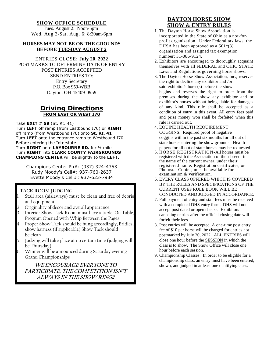# **SHOW OFFICE SCHEDULE**

 Tues. August 2: Noon-5pm Wed. Aug 3-Sat. Aug. 6: 8:30am-6pm

## **HORSES MAY NOT BE ON THE GROUNDS BEFORE TUESDAY AUGUST 2**

# ENTRIES CLOSE: **July 20, 2022** POSTMARKS TO DETERMINE DATE OF ENTRY POST ENTRIES ACCEPTED SEND ENTRIES TO: Entry Secretary P.O. Box 959-WBB Dayton, OH 45409-0959

# **Driving Directions FROM EAST OR WEST I70**

Take **EXIT # 59** (St. Rt. 41)

Turn **LEFT** off ramp (from Eastbound I70) or **RIGHT**  off ramp (from Westbound I70) onto **St. Rt. 41** Turn **LEFT** onto the entrance ramp to Westbound I70 Before entering the Interstate Turn **RIGHT** onto **LAYBOURNE RD.** for ½ mile Turn **RIGHT** into **CLARK COUNTY FAIRGROUNDS CHAMPIONS CENTER** will be slightly to the **LEFT.**

Champions Center Ph#: (937) 324-4353 Rudy Moody's Cell#: 937-760-2637 Evette Moody's Cell#: 937-623-7934

# **TACK ROOM JUDGING**

- Stall area (aisleways) must be clean and free of debris and equipment
- 2. Originality of décor and overall appearance
- Interior Show Tack Room must have a table. On Table, Program Opened with Whip Between the Pages
- Proper Show Tack should be hung accordingly, Bridles, show harness (if applicable) Show Tack should be clean
- 5. Judging will take place at no certain time (judging will be Thursday)
- 6. Winner will be announced during Saturday evening Grand Championships

**WE ENCOURAGE EVERYONE TO PARTICIPATE, THE COMPETITION ISN'T ALWAYS IN THE SHOW RING!!**

# **DAYTON HORSE SHOW SHOW & ENTRY RULES**

- 1. The Dayton Horse Show Association is incorporated in the State of Ohio as a not-forprofit organization. Under Federal tax laws, the DHSA has been approved as a 501c(3) organization and assigned tax exemption number: 31-086-9124.
- 2. Exhibitors are encouraged to thoroughly acquaint themselves with all FEDERAL and OHIO STATE Laws and Regulations governing horse shows.
- 3. The Dayton Horse Show Association, Inc., reserves the right to decline any exhibitor and /or said exhibitor's horse(s) before the show begins and reserves the right to order from the premises during the show any exhibitor and or exhibitor's horses without being liable for damages of any kind. This rule shall be accepted as a condition of entry in this event. All entry fees paid and prize money won shall be forfeited when this rule is carried out.
- 4. EQUINE HEALTH REQUIREMENT COGGINS: Required proof of negative coggins within the past six months for all out of state horses entering the show grounds. Health papers for all out of state horses may be requested.
- 5. HORSE REGISTRATION-All horses must be registered with the Association of their breed, in the name of the current owner, under their registered name. Registration certificates, or Photostat Copies, must be available for examination & verification.
- 6. EVERY CLASS OFFERED WHICH IS COVERED BY THE RULES AND SPECIFICATIONS OF THE CURRENT USEF RULE BOOK WILL BE CONDUCTED AND JUDGED IN ACCORDANCE.
- 7. Full payment of entry and stall fees must be received with a completed DHS entry form. DHS will not accept post dated or open checks. Exhibitors canceling entries after the official closing date will forfeit their fees.
- 8. Post entries will be accepted. A one-time post entry fee of \$10 per horse will be charged for entries not postmarked by July 20, 2022. ALL ENTRIES will close one hour before the SESSION in which the class is to show. The Show Office will close one hour before each session.
- 9. Championship Classes: In order to be eligible for a championship class, an entry must have been entered, shown, and judged in at least one qualifying class.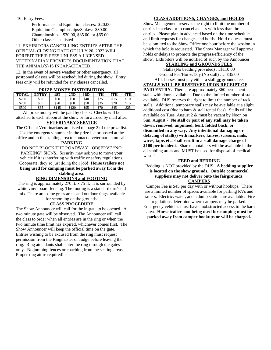10. Entry Fees:

Performance and Equitation classes: \$20.00 Equitation Championships/Stakes: \$30.00 Championships: \$30.00, \$35.00, or \$65.00 Other classes: as listed

11. EXHIBITORS CANCELLING ENTRIES AFTER THE OFFICIAL CLOSING DATE OF JULY 20, 2022 WILL FORFEIT THEIR FEES UNLESS A LICENSED VETERINARIAN PROVIDES DOCUMENTATION THAT THE ANIMAL(S) IS INCAPACITATED.

12. In the event of severe weather or other emergency, all postponed classes will be rescheduled during the show. Entry fees only will be refunded for any classes cancelled.

| <b>TOTAL</b> | <b>ENTRY</b> | 1ST   | 2ND   | 3RD  | 4TH  | 5TH  | 6TH  |  |
|--------------|--------------|-------|-------|------|------|------|------|--|
| \$200        | \$30         | \$60  | \$50  | \$40 | \$25 | \$15 | \$10 |  |
| \$250        | \$35         | \$70  | \$60  | \$50 | \$35 | \$20 | \$15 |  |
| \$500        | \$65         | \$145 | \$120 | \$95 | \$70 | \$45 | \$25 |  |

All prize money will be paid by check. Checks will be attached to each ribbon at the show or forwarded by mail after.

#### **VETERINARY SERVICE**

The Official Veterinarians are listed on page 2 of the prize list. Use the emergency number in the prize list or posted at the office and in the stabling area to contact a veterinarian on call.

#### **PARKING**

DO NOT BLOCK THE ROADWAY! OBSERVE "NO PARKING" SIGNS. Security may ask you to move your vehicle if it is interfering with traffic or safety regulations. Cooperate, they're just doing their job! **Horse trailers not being used for camping must be parked away from the** 

#### **stabling area.**

# **RING DIMENSIONS and FOOTING**

The ring is approximately 270 ft. x 75 ft. It is surrounded by white vinyl board fencing. The footing is a standard dirt/sand mix. There are some grass areas and outdoor rings available for schooling on the grounds.

## **CLASS PROCEDURE**

The Show Announcer will call for the in-gate to be opened. A two minute gate will be observed. The Announcer will call the class to order when all entries are in the ring or when the two minute time limit has expired, whichever comes first. The Show Announcer will keep the official time on the gate. Entries wishing to be excused from the ring must request permission from the Ringmaster or Judge before leaving the ring. Ring attendants shall enter the ring through the gates only. No jumping fences or coaching from the seating areas. Proper ring attire required!

#### **CLASS ADDITIONS, CHANGES, and HOLDS**

Show Management reserves the right to limit the number of entries in a class or to cancel a class with less than three entries. Please plan in advanced based on the time schedule and limit requests for changes and holds. Hold requests must be submitted to the Show Office one hour before the session in which the hold is requested. The Show Manager will approve holds or delays to promote the progress/efficiency of the show. Exhibitors will be notified of such by the Announcer.

#### **STABLING and GROUNDS FEES**

Stalls (No bedding provided) …\$110.00 Ground Fee/Horse/Day (No stall) …. \$35.00 ALL horses must pay either a stall **or** grounds fee.

**STALLS WILL BE RESERVED UPON RECEIPT OF PAID ENTRY.** There are approximately 360 permanent stalls with doors available. Due to the limited number of stalls available, DHS reserves the right to limit the number of tack stalls. Additional temporary stalls may be available at a slight additional cost (due to barn & stall rental fees). Stalls will be available on Tues. August 2 & must be vacant by Noon on Sun. August 7. **No stall or part of any stall may be taken down, removed, unpinned, bent, folded back, or dismantled in any way. Any intentional damaging or defacing of stall(s) with markers, knives, scissors, nails, wires, tape, etc. shall result in a stall damage charge of \$100 per incident**. Sharps containers will be available in the all stabling areas and MUST be used for disposal of medical waste!

#### **FEED and BEDDING**

Bedding is NOT provided by the DHS. **A bedding supplier is located on the show grounds. Outside commercial suppliers may not deliver onto the fairgrounds**. **CAMPERS**

Camper Fee is \$45 per day with or without hookups. There are a limited number of spaces available for parking RVs and trailers. Electric, water, and a dump station are available. Fire

regulations determine where campers may be parked. Emergency vehicles must have unobstructed access to the barn area. **Horse trailers not being used for camping must be parked away from camper hookups or will be charged.**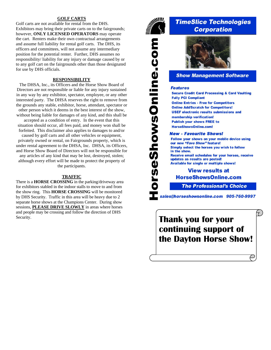#### **GOLF CARTS**

Golf carts are not available for rental from the DHS. Exhibitors may bring their private carts on to the fairgrounds; however, **ONLY LICENSED OPERATORS** may operate the cart. Renters make their own contractual arrangements and assume full liability for rental golf carts. The DHS, its officers and committees, will not assume any intermediary position for the potential renter. Further, DHS assumes no responsibility/ liability for any injury or damage caused by or to any golf cart on the fairgrounds other than those designated for use by DHS officials.

#### **RESPONSIBILITY**

The DHSA, Inc., its Officers and the Horse Show Board of Directors are not responsible or liable for any injury sustained in any way by any exhibitor, spectator, employee, or any other interested party. The DHSA reserves the right to remove from the grounds any stable, exhibitor, horse, attendant, spectator or other person which it deems in the best interest of the show, without being liable for damages of any kind, and this shall be

accepted as a condition of entry. In the event that this situation should occur, all fees paid, and money won shall be forfeited. This disclaimer also applies to damages to and/or

caused by golf carts and all other vehicles or equipment, privately owned or rental, on Fairgrounds property, which is under rental agreement to the DHSA, Inc. DHSA, its Officers, and Horse Show Board of Directors will not be responsible for any articles of any kind that may be lost, destroyed, stolen; although every effort will be made to protect the property of the participants.

#### **TRAFFIC**

There is a **HORSE CROSSING** in the parking/driveway area for exhibitors stabled in the indoor stalls to move to and from the show ring. This **HORSE CROSSING** will be monitored by DHS Security. Traffic in this area will be heavy due to 2 separate horse shows at the Champions Center. During show sessions, **PLEASE DRIVE SLOWLY** in areas where horses and people may be crossing and follow the direction of DHS



orseShowsOnline.com

# **TimeSlice Technologies Corporation**



# **Show Management Software**

#### **Features**

**Secure Credit Card Processing & Card Vaulting Fully PCI Compliant Online Entries - Free for Competitors Online Add/Scratch for Competitors! USEF electronic results submissions and** membership verification! **Publish your shows FREE to HorseShowsOnline.com!** 

#### **New - Favourite Shows!**

Follow your shows on your mobile device using our new "Fave Show" feature! Simply select the horses you wish to follow in the show. Receive email schedules for your horses, receive updates as results are posted! **Available for single or multiple shows!** 

# **View results at HorseShowsOnline.com**

**The Professional's Choice** 

 $\tau$ 

sales@horseshowsonline.com 905-760-9997

Security. **Thank you for your continuing support of the Dayton Horse Show!**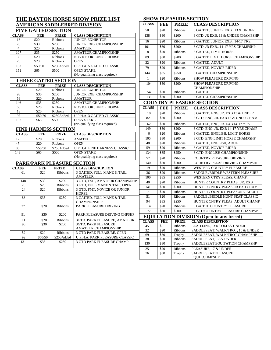#### **THE DAYTON HORSE SHOW PRIZE LIST AMERICAN SADDLEBRED DIVISION FIVE GAITED SECTION**

|              |            | ----------------- |                                 |
|--------------|------------|-------------------|---------------------------------|
| <b>CLASS</b> | <b>FEE</b> | <b>PRIZE</b>      | <b>CLASS DESCRIPTION</b>        |
| 18           | \$20       | <b>Ribbons</b>    | <b>JUNIOR EXHIBITOR</b>         |
| 70           | \$30       | \$200             | <b>JUNIOR EXB. CHAMPIONSHIP</b> |
| 4            | \$20       | <b>Ribbons</b>    | <b>AMATEUR</b>                  |
| 107          | \$35       | \$250             | <b>AMATEUR CHAMPIONSHIP</b>     |
| 30           | \$20       | <b>Ribbons</b>    | <b>NOVICE OR JUNIOR HORSE</b>   |
| 23           | \$20       | <b>Ribbons</b>    | <b>OPEN</b>                     |
| 103          | \$50/50    | \$250Added        | U.P.H.A. 5 GAITED CLASSIC       |
| 151          | \$65       | \$500             | <b>OPEN STAKE</b>               |
|              |            |                   | (No qualifying class required)  |

# **THREE GAITED SECTION**

**FINE HARNESS SECTION**

12 \$20 Ribbons AMATEUR 47  $\vert$  \$20 Ribbons OPEN

\$65 \$500 OPEN STAKE

**PARK/PARK PLEASURE SECTION**<br>CLASS FEE PRIZE CLASS DES

| <b>CLASS</b> | <b>FEE</b> | <b>PRIZE</b>   | <b>CLASS DESCRIPTION</b>        |
|--------------|------------|----------------|---------------------------------|
|              | \$20       | <b>Ribbons</b> | <b>JUNIOR EXHIBITOR</b>         |
| 98           | \$30       | \$200          | <b>JUNIOR EXB. CHAMPIONSHIP</b> |
| 58           | \$20       | <b>Ribbons</b> | <b>AMATEUR</b>                  |
| 146          | \$35       | \$250          | <b>AMATEUR CHAMPIONSHIP</b>     |
| 68           | \$20       | <b>Ribbons</b> | <b>NOVICE OR JUNIOR HORSE</b>   |
| 13           | \$20       | <b>Ribbons</b> | <b>OPEN</b>                     |
| 97           | \$50/50    | \$250Added     | U.P.H.A. 3 GAITED CLASSIC       |
| 137          | \$65       | \$500          | <b>OPEN STAKE</b>               |
|              |            |                | (No qualifying class required)  |

**CLASS FEE PRIZE CLASS DESCRIPTION**

#### **SHOW PLEASURE SECTION**

|                 |              |                            | <u>HE DAT FON HONGE SHOW I NIZE LIST</u>            |                 |                  |                | SHOW TEERSONE SECTION                          |
|-----------------|--------------|----------------------------|-----------------------------------------------------|-----------------|------------------|----------------|------------------------------------------------|
|                 |              |                            | <b>MERICAN SADDLEBRED DIVISION</b>                  | <b>CLASS</b>    | FEE              | <b>PRIZE</b>   | <b>CLASS DESCRIPTION</b>                       |
|                 |              | <b>VE GAITED SECTION</b>   |                                                     | 50              | \$20             | Ribbons        | 3 GAITED, JUNIOR EXB., 13 & UNDER              |
| SS              | <b>FEE</b>   | <b>PRIZE</b>               | <b>CLASS DESCRIPTION</b>                            | 138             | $\overline{$}30$ | \$200          | 3 GTD, JR EXB. 13 & UNDER CHAMPSHP             |
|                 | \$20         | Ribbons                    | <b>JUNIOR EXHIBITOR</b>                             |                 |                  |                |                                                |
|                 | \$30         | \$200                      | JUNIOR EXB. CHAMPIONSHIP                            | 16              | \$20             | Ribbons        | 3 GAITED, JUNIOR EXB., 14-17 YRS.              |
|                 | \$20         | Ribbons                    | <b>AMATEUR</b>                                      | 101             | \$30             | \$200          | 3 GTD, JR EXB., 14-17 YRS CHAMPSHP             |
|                 | \$35         | \$250                      | AMATEUR CHAMPIONSHIP                                | 8               | \$20             | Ribbons        | 3 GAITED, LIMIT HORSE                          |
|                 | \$20         | Ribbons                    | NOVICE OR JUNIOR HORSE                              | 89              | \$30             | \$200          | 3 GAITED LIMIT HORSE CHAMPIONSHIP              |
|                 | \$20         | Ribbons                    | <b>OPEN</b>                                         | 22              | \$20             | Ribbons        | 3 GAITED, ADULT                                |
|                 | \$50/50      | \$250Added                 | U.P.H.A. 5 GAITED CLASSIC                           | 79              | \$20             | Ribbons        | <b>3 GAITED, NOVICE RIDER</b>                  |
|                 | \$65         | \$500                      | <b>OPEN STAKE</b><br>(No qualifying class required) | 144             | \$35             | \$250          | <b>3 GAITED CHAMPIONSHIP</b>                   |
|                 |              |                            |                                                     | $\mathbf{1}$    | \$20             | <b>Ribbons</b> | SHOW PLEASURE DRIVING                          |
|                 |              | <b>HREE GAITED SECTION</b> |                                                     | 104             | \$30             | \$200          | <b>SHOW PLEASURE DRIVING</b>                   |
| <b>ASS</b>      | <b>FEE</b>   | <b>PRIZE</b>               | <b>CLASS DESCRIPTION</b>                            |                 |                  |                | <b>CHAMPIONSHIP</b>                            |
|                 | \$20         | Ribbons                    | <b>JUNIOR EXHIBITOR</b>                             | 54              | \$20             | Ribbons        | 5 GAITED                                       |
|                 | \$30         | \$200                      | JUNIOR EXB. CHAMPIONSHIP                            | 135             | \$30             | \$200          | <b>5 GAITED CHAMPIONSHIP</b>                   |
|                 | \$20         | Ribbons                    | <b>AMATEUR</b>                                      |                 |                  |                | <b>COUNTRY PLEASURE SECTION</b>                |
|                 | \$35<br>\$20 | \$250<br>Ribbons           | AMATEUR CHAMPIONSHIP<br>NOVICE OR JUNIOR HORSE      |                 |                  |                |                                                |
|                 | \$20         | Ribbons                    | <b>OPEN</b>                                         | <b>CLASS</b>    | FEE              | <b>PRIZE</b>   | <b>CLASS DESCRIPTION</b>                       |
|                 | \$50/50      | \$250Added                 | U.P.H.A. 3 GAITED CLASSIC                           | 10              | \$20             | Ribbons        | 3 GAITED, ENG, JR. EXB 13 & UNDER              |
|                 | \$65         | \$500                      | <b>OPEN STAKE</b>                                   | 82              | \$30             | \$200          | 3 GTD, ENG, JR. EXB 13 & UNDR CHAMP            |
|                 |              |                            | (No qualifying class required)                      | 62              | \$20             | Ribbons        | 3 GAITED, ENG, JR. EXB 14-17 YRS               |
|                 |              | <b>NE HARNESS SECTION</b>  |                                                     | 149             | \$30             | \$200          | 3 GTD, ENG, JR. EXB 14-17 YRS CHAMP            |
| ASS             | <b>FEE</b>   | <b>PRIZE</b>               | <b>CLASS DESCRIPTION</b>                            | 6               | \$20             | Ribbons        | 3 GAITED, ENGLISH, LIMIT HORSE                 |
|                 | \$20         | Ribbons                    | <b>AMATEUR</b>                                      | 105             | \$30             | \$200          | 3 GTD, ENG LIMIT HORSE CHAMPSHP                |
|                 | \$20         | Ribbons                    | <b>OPEN</b>                                         | 48              | \$20             | Ribbons        | 3 GAITED, ENGLISH, ADULT                       |
|                 | \$50/50      | \$250Added                 | U.P.H.A. FINE HARNESS CLASSIC                       | 59              | \$20             | Ribbons        | 3 GAITED, NOVICE RIDER                         |
|                 | \$65         | \$500                      | <b>OPEN STAKE</b>                                   | 134             | \$35             | \$250          | 3 GTD, ENGLISH CHAMPIONSHIP                    |
|                 |              |                            | (No qualifying class required)                      | $\overline{57}$ | \$20             | Ribbons        | COUNTRY PLEASURE DRIVING                       |
|                 |              |                            | <b>ARK/PARK PLEASURE SECTION</b>                    | 140             | \$30             | \$200          | COUNTRY PLEAS DRIVING CHAMPSHP                 |
| SS              | <b>FEE</b>   | <b>PRIZE</b>               | <b>CLASS DESCRIPTION</b>                            | 19              | \$20             | Ribbons        | WESTERN COUNTRY PLEASURE                       |
| 61              | \$20         | <b>Ribbons</b>             | 3 GAITED, FULL MANE & TAIL,                         | 36              | \$20             | Ribbons        | SADDLE /BRIDLE WESTERN PLEASURE                |
|                 |              |                            | <b>AMATEUR</b>                                      | 100             | \$35             | \$250          | WESTERN CTRY PLEAS. CHAMP.                     |
| 148             | \$30         | \$200                      | 3 GTD, FMT, AMATEUR CHAMPNSHP                       | 40              | \$20             | Ribbons        | HUNTER COUNTRY PLEAS., JR. EXB                 |
| 20              | \$20         | Ribbons                    | 3 GTD, FULL MANE & TAIL, OPEN                       | 141             | \$30             | \$200          | HUNTER CNTRY PLEAS. JR EXB CHAMP               |
| 24              | \$20         | Ribbons                    | 3 GTD, FMT, NOVICE OR JUNIOR<br><b>HORSE</b>        | $\overline{7}$  | \$20             | Ribbons        | HUNTER COUNTRY PLEASURE, ADULT                 |
| 88              | \$35         | \$250                      | 3 GAITED, FULL MANE & TAIL                          | 51              | \$20             | Ribbons        | SADDLE /BRIDLE HUNT SEAT CLASSIC               |
|                 |              |                            | <b>CHAMPIONSHIP</b>                                 | 94              | \$35             | \$250          | HUNTER CNTRY PLEAS. ADULT CHAMP                |
| $\overline{27}$ | \$20         | Ribbons                    | PARK PLEASURE DRIVING                               | 14              | \$20             | Ribbons        | 5 GAITED COUNTRY PLEASURE                      |
|                 |              |                            |                                                     | 77              | \$30             | \$200          | 5 GTD COUNTRY PLEASURE CHAMPSP                 |
| 91              | \$30         | \$200                      | PARK PLEASURE DRIVING CHPSHP                        |                 |                  |                | <b>EQUITATION DIVISION (Open to any breed)</b> |
| -11             | \$20         | Ribbons                    | 3GTD. PARK PLEASURE, AMATEUR                        | <b>CLASS</b>    | <b>FEE</b>       | <b>PRIZE</b>   | <b>CLASS DESCRIPTION</b>                       |
| 96              | \$30         | \$200                      | <b>3GTD. PARK PLEASURE</b>                          | 45              | \$5              | Ribbons        | LEAD LINE, 6YRS.OLD & UNDER                    |
|                 |              |                            | AMATEUR CHAMPIONSHIP                                | 32              | \$20             | <b>Ribbons</b> | SADDLESEAT. WALK/TROT, 10 & UNDER              |
| 52              | \$20         | <b>Ribbons</b>             | 3 GTD PARK PLEASURE, OPEN                           | 69              | \$30             | Trophy         | SADDLESEAT, WALK/TROT CHAMPSHP                 |
| 92              | \$50/50      | \$250Added                 | U.P.H.A. PARK PLEASURE CLASSIC                      | 38              | \$20             | Ribbons        | SADDLESEAT, 17 & UNDER                         |
| 131             | \$35         | \$250                      | <b>3 GTD PARK PLEASURE CHAMP</b>                    | 130             | \$30             | Trophy         | SADDLESEAT EQUITATION CHAMPSHP                 |
|                 |              |                            |                                                     | 25              | \$20             | Ribbons        | PLEASURE, 17 & UNDER                           |
|                 |              |                            |                                                     | 76              | \$30             | Trophy         | SADDLESEAT PLEASURE                            |
|                 |              |                            |                                                     |                 |                  |                | EQUIT.CHMPSHP                                  |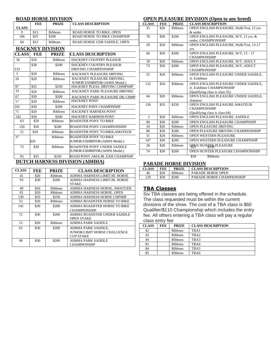#### **ROAD HORSE DIVISION**

#### **OPEN PLEASURE DIVISION (Open to any breed)**

|                 | <b>FEE</b><br><b>PRIZE</b><br><b>CLASS DESCRIPTION</b> |                         | <b>CLASS</b>                                                   | <b>FEE</b>     | <b>PRIZE</b> | <b>CLASS DESCRIPT</b> |                                               |
|-----------------|--------------------------------------------------------|-------------------------|----------------------------------------------------------------|----------------|--------------|-----------------------|-----------------------------------------------|
| <b>CLASS</b>    |                                                        |                         |                                                                | 35             | \$20         | <b>Ribbons</b>        | <b>OPEN ENGLISH PI</b>                        |
| 9               | \$15                                                   | Ribbons                 | ROAD HORSE TO BIKE, OPEN                                       |                |              |                       | & under                                       |
| 106             | \$25                                                   | \$200                   | ROAD HORSE TO BIKE CHAMPSHP                                    | 78             | \$30         | \$200                 | <b>OPEN ENGLISH PI</b>                        |
| 60              | \$15                                                   | <b>Ribbons</b>          | ROAD HORSE UDR SADDLE, OPEN                                    |                |              |                       | under, CHAMPION:                              |
|                 |                                                        | <b>HACKNEY DIVISION</b> |                                                                | 29             | \$20         | <b>Ribbons</b>        | <b>OPEN ENGLISH PI</b>                        |
|                 |                                                        |                         |                                                                |                |              |                       | yrs.<br><b>OPEN ENGLISH PI</b>                |
| <b>CLASS</b>    | <b>FEE</b>                                             | <b>PRIZE</b>            | <b>CLASS DESCRIPTION</b>                                       | 66             | \$30         | \$200                 | <b>CHAMPIONSHIP</b>                           |
| 56              | \$20                                                   | <b>Ribbons</b>          | <b>HACKNEY COUNTRY PLEASUR</b>                                 | 39             | \$20         | <b>Ribbons</b>        | <b>OPEN ENGLISH PI</b>                        |
|                 | \$30                                                   | \$200                   | <b>HACKNEY COUNTRY PLEASUR</b>                                 | 73             | \$30         | \$200                 | <b>OPEN ENGLISH PI</b>                        |
| 133             |                                                        |                         | <b>DRIVING CHAMPIONSHIP</b>                                    |                |              |                       | <b>CHAMPIONSHIP</b>                           |
| $\overline{5}$  | \$20                                                   | <b>Ribbons</b>          | HACKNEY PLEASURE DRIVING                                       | 55             | \$20         | <b>Ribbons</b>        | <b>OPEN ENGLISH PI</b>                        |
| 26              | \$20                                                   | <b>Ribbons</b>          | HACKNEY PLEASURE DRIVING.                                      |                |              |                       | Jr. Exhibitor                                 |
|                 |                                                        |                         | <b>JUNIOR EXHIBITOR (AHHS Medal.)</b>                          | 132            | \$20         | <b>Ribbons</b>        | <b>OPEN ENGLISH PI</b>                        |
| 87              | \$35                                                   | \$250                   | HACKNEY PLEAS. DRIVING CHMPSHP                                 |                |              |                       | Jr. Exhibitor CHAM                            |
| $\overline{33}$ | \$20                                                   | <b>Ribbons</b>          | HACKNEY PARK PLEASURE DRIVING                                  |                |              |                       | (Qualifying class is o                        |
| 67              | \$30                                                   | \$200                   | HACKNEY PARK PLEASURE DR. CHMP                                 | 64             | \$20         | <b>Ribbons</b>        | <b>OPEN ENGLISH PI</b>                        |
| 17              | \$20                                                   | <b>Ribbons</b>          | <b>HACKNEY PONY</b>                                            |                |              |                       | Amateur                                       |
| 102             | \$30                                                   | \$200                   | HACKNEY PONY CHAMPINSHP                                        | 136            | \$35         | \$250                 | <b>OPEN ENGLISH PI</b>                        |
| 71              | \$20                                                   | <b>Ribbons</b>          | <b>HACKNEY HARNESS PONY</b>                                    |                |              |                       | <b>CHAMPIONSHIP</b><br>(Qualifying class is o |
| 142             | \$30                                                   | \$200                   | <b>HACKNEY HARNESS PONY</b>                                    | $\overline{c}$ | \$20         | <b>Ribbons</b>        | <b>OPEN ENGLISH PI</b>                        |
| 63              | \$20                                                   | <b>Ribbons</b>          | <b>ROADSTER PONY TO BIKE</b>                                   | 90             | \$30         | \$200                 | <b>OPEN ENGLISH PI</b>                        |
| 150             | \$30                                                   | \$200                   | ROADSTER PONY CHAMPIONSHIP                                     | 34             | \$20         | <b>Ribbons</b>        | <b>OPEN PLEASURE</b>                          |
| 21              | \$20                                                   | <b>Ribbons</b>          | ROADSTER PONY TO BIKE, AMATEUR                                 | 80             | \$30         | \$200                 | <b>OPEN PLEASURE</b>                          |
|                 |                                                        |                         |                                                                | 31             | \$20         | <b>Ribbons</b>        | <b>OPEN WESTERN P</b>                         |
| 37              | \$20                                                   | <b>Ribbons</b>          | <b>ROADSTER PONY TO BIKE</b><br>JUNIOR EXHIBITOR (AHHS Medal.) | 147            | \$30         | \$200                 | <b>OPEN WESTERN P</b>                         |
|                 |                                                        |                         |                                                                | 28             | \$20         | <b>Ribbons</b>        |                                               |
| 75              | \$20                                                   | <b>Ribbons</b>          | ROADSTER PONY UNDER SADDLE                                     |                |              |                       | <b>QBEN HUNTER PL</b>                         |
|                 |                                                        |                         | <b>JUNIOR EXHIBITOR (AHHS Medal.)</b>                          | 74             | \$30         | \$200                 | <b>OPEN HUNTER PL</b>                         |
| 95              | \$35                                                   | \$250                   | ROAD PONY AMA/JR. EXH CHAMPSHP                                 |                |              |                       | \$10<br>Ribbons                               |
|                 |                                                        |                         | <b>DUTCH HARNESS DIVISION (ADHHA)</b>                          |                |              |                       | <b>PARADE HORSE DIVISION</b>                  |
|                 |                                                        |                         |                                                                |                |              |                       |                                               |

| <b>CLASS</b> | FEE  | <b>PRIZE</b>   | <b>CLASS DESCRIPTION</b>      |
|--------------|------|----------------|-------------------------------|
| 41           | \$20 | <b>Ribbons</b> | ADHHA HARNESS LIMIT/JR. HORSE |
| 93           | \$30 | \$200          | ADHHA HARNESS LIMIT/JR. HORSE |
|              |      |                | <b>STAKE</b>                  |
| 49           | \$20 | Ribbons        | ADHHA HARNESS HORSE, AMATUER  |
| 81           | \$20 | <b>Ribbons</b> | ADHHA HARNESS HORSE, OPEN     |
| 139          | \$35 | \$250          | ADHHA HARNESS HORSE CHPSHP    |
| 53           | \$20 | <b>Ribbons</b> | ADHHA ROADSTER HORSE TO BIKE  |
| 145          | \$30 | \$200          | ADHHA ROADSTER HORSE TO BIKE  |
|              |      |                | <b>CHAMPIONSHIP</b>           |
| 72           | \$30 | \$200          | ADHHA ROADSTER UNDER SADDLE   |
|              |      |                | <b>OPEN STAKE</b>             |
| 15           | \$20 | <b>Ribbons</b> | ADHHA PARK SADDLE             |
| 65           | \$30 | \$200          | ADHHA PARK SADDLE,            |
|              |      |                | JUNIOR/LIMIT HORSE CHALLENGE  |
|              |      |                | <b>CUP STAKE</b>              |
| 99           | \$30 | \$200          | ADHHA PARK SADDLE             |
|              |      |                | <b>CHAMPIONSHP</b>            |

| <b>CLASS</b>   | <b>FEE</b> | <b>PRIZE</b>   | <b>CLASS DESCRIPTION</b>                  |
|----------------|------------|----------------|-------------------------------------------|
| 35             | \$20       | <b>Ribbons</b> | OPEN ENGLISH PLEASURE, Walk/Trot, 12 yrs. |
|                |            |                | $&$ under                                 |
| 78             | \$30       | \$200          | OPEN ENGLISH PLEASURE, W/T, 12 yrs. &     |
|                |            |                | under, CHAMPIONSHIP                       |
| 29             | \$20       | <b>Ribbons</b> | OPEN ENGLISH PLEASURE, Walk/Trot, 13-17   |
|                |            |                | yrs.                                      |
| 66             | \$30       | \$200          | OPEN ENGLISH PLEASURE, W/T, 13 - 17       |
|                |            |                | <b>CHAMPIONSHIP</b>                       |
| 39             | \$20       | <b>Ribbons</b> | OPEN ENGLISH PLEASURE, W/T, ADULT         |
| 73             | \$30       | \$200          | OPEN ENGLISH PLEASURE, W/T, ADULT         |
|                |            |                | <b>CHAMPIONSHIP</b>                       |
| 55             | \$20       | <b>Ribbons</b> | OPEN ENGLISH PLEASURE UNDER SADDLE,       |
|                |            |                | Jr. Exhibitor                             |
| 132            | \$20       | <b>Ribbons</b> | OPEN ENGLISH PLEASURE UNDER SADDLE,       |
|                |            |                | Jr. Exhibitor CHAMPIONSHIP                |
|                |            |                | (Qualifying class is class 55)            |
| 64             | \$20       | <b>Ribbons</b> | OPEN ENGLISH PLEASURE UNDER SADDLE.       |
|                |            |                | Amateur                                   |
| 136            | \$35       | \$250          | OPEN ENGLISH PLEASURE AMATEUR             |
|                |            |                | <b>CHAMPIONSHIP</b>                       |
| $\mathfrak{D}$ |            |                | (Qualifying class is class 64)            |
|                | \$20       | <b>Ribbons</b> | OPEN ENGLISH PLEASURE, SADDLE             |
| 90             | \$30       | \$200          | OPEN ENGLISH PLEASURE CHAMPNSHP           |
| 34             | \$20       | <b>Ribbons</b> | OPEN PLEASURE DRIVING                     |
| 80             | \$30       | \$200          | OPEN PLEASURE DRIVING CHAMPIONSHIP        |
| 31             | \$20       | <b>Ribbons</b> | <b>OPEN WESTERN PLEASURE</b>              |
| 147            | \$30       | \$200          | OPEN WESTERN PLEASURE CHAMPNSHP           |
| 28             | \$20       | <b>Ribbons</b> | QBEN HUNTER PLEASURE                      |
| 74             | \$30       | \$200          | <b>OPEN HUNTER PLEASURE CHAMPIONSHIP</b>  |
|                |            |                | \$10<br>Ribbons                           |

# **PARADE HORSE DIVISION**

| CLASS | FEE  | <b>PRIZE</b>   | <b>CLASS DESCRIPTION</b>  |
|-------|------|----------------|---------------------------|
| 46    | \$20 | <b>Ribbons</b> | PARADE HORSE OPEN         |
| 129   | \$30 | \$200          | PARADE HORSE CHAMPIONSHIP |

## **TBA Classes**

Six TBA classes are being offered in the schedule. The class requested must be within the current divisions of the show. The cost of a TBA class is \$60 Qualifier/\$110 Championship which includes the entry fee. All others entering a TBA class will pay a regular class entry fee

| <b>CLASS</b> | <b>FEE</b> | <b>PRIZE</b>   | <b>CLASS DESCRIPTION</b> |
|--------------|------------|----------------|--------------------------|
| 42           |            | Ribbons        | TBA1                     |
| 43           |            | <b>Ribbons</b> | TBA <sub>2</sub>         |
| 44           |            | <b>Ribbons</b> | TBA3                     |
| 83           |            | <b>Ribbons</b> | TBA4                     |
| 84           |            | Ribbons        | TBA5                     |
| 85           |            | <b>Ribbons</b> | TBA6                     |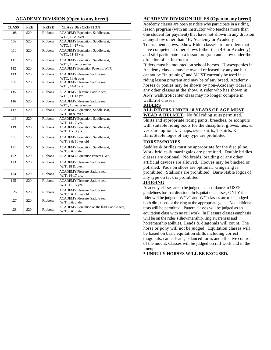| <b>CLASS</b> | <b>FEE</b> | <b>PRIZE</b>   | <b>CLASS DESCRIPTION</b>                                       |
|--------------|------------|----------------|----------------------------------------------------------------|
| 108          | \$20       | <b>Ribbons</b> | <b>ACADEMY</b> Equitation, Saddle seat,<br>WTC, 18 & over      |
| 109          | \$20       | <b>Ribbons</b> | <b>ACADEMY</b> Equitation, Saddle seat,<br>WTC, 14-17 yrs.     |
| 110          | \$20       | <b>Ribbons</b> | <b>ACADEMY</b> Equitation, Saddle seat,<br>WTC, 11-13 yrs.     |
| 111          | \$20       | <b>Ribbons</b> | <b>ACADEMY</b> Equitation, Saddle seat,<br>WTC, 10 yrs.& under |
| 112          | \$20       | <b>Ribbons</b> | <b>ACADEMY Equitation Patterns, WTC</b>                        |
| 113          | \$20       | <b>Ribbons</b> | <b>ACADEMY</b> Pleasure, Saddle seat,<br>WTC, 18 & over        |
| 114          | \$20       | <b>Ribbons</b> | <b>ACADEMY</b> Pleasure, Saddle seat,<br>WTC, 14-17 yrs.       |
| 115          | \$20       | <b>Ribbons</b> | <b>ACADEMY</b> Pleasure, Saddle seat,<br>WTC, 11-13 yrs.       |
| 116          | \$20       | <b>Ribbons</b> | <b>ACADEMY Pleasure, Saddle seat.</b><br>WTC, 10 yrs.& under   |
| 117          | \$20       | <b>Ribbons</b> | <b>ACADEMY</b> Equitation, Saddle seat,<br>W/T, 18 & over      |
| 118          | \$20       | <b>Ribbons</b> | <b>ACADEMY</b> Equitation, Saddle seat,<br>W/T, 14-17 yrs.     |
| 119          | \$20       | <b>Ribbons</b> | <b>ACADEMY</b> Equitation, Saddle seat,<br>W/T, 11-13 yrs.     |
| 120          | \$20       | <b>Ribbons</b> | <b>ACADEMY</b> Equitation, Saddle seat,<br>W/T, 9 & 10 yrs old |
| 121          | \$20       | <b>Ribbons</b> | <b>ACADEMY</b> Equitation, Saddle seat,<br>W/T, 8 & under      |
| 122          | \$20       | <b>Ribbons</b> | <b>ACADEMY Equitation Patterns, W/T</b>                        |
| 123          | \$20       | <b>Ribbons</b> | <b>ACADEMY Pleasure, Saddle seat,</b><br>W/T, 18 & over        |
| 124          | \$20       | <b>Ribbons</b> | <b>ACADEMY</b> Pleasure, Saddle seat,<br>W/T, 14-17 yrs.       |
| 125          | \$20       | Ribbons        | <b>ACADEMY</b> Pleasure, Saddle seat,<br>W/T, 11-13 yrs.       |
| 126          | \$20       | <b>Ribbons</b> | <b>ACADEMY Pleasure, Saddle seat,</b><br>W/T, 9 & 10 yrs old   |
| 127          | \$20       | Ribbons        | <b>ACADEMY Pleasure, Saddle seat,</b><br>W/T, 8 & under        |
| 128          | \$20       | <b>Ribbons</b> | ACADEMY Equitation on the lead, Saddle seat,<br>W/T, 8 & under |

#### **ACADEMY DIVISION (Open to any breed) ACADEMY DIVISION RULES (Open to any breed)**

Academy classes are open to riders who participate in a riding lesson program (with an instructor who teaches more than one student for payment) that have not shown in any division at any show other than 4H, Academy or Academy

Tournament shows. Show Rider classes are for riders that have competed at other shows (other than 4H or Academy) and still participate in a lesson program and show under the direction of an instructor.

Riders must be mounted on school horses. Horses/ponies in Academy classes may be owned or leased by anyone but cannot be "in training" and MUST currently be used in a riding lesson program and may be of any breed. Academy horses or ponies may be shown by non-Academy riders in any other classes at the show. A rider who has shown in ANY walk/trot/canter class may no longer compete in walk/trot classes.

#### **RIDERS**

#### **ALL RIDERS UNDER 18 YEARS OF AGE MUST**

**WEAR A HELMET**. No full riding suits permitted. Shirts and appropriate riding pants, breeches, or jodhpurs with suitable riding boots for the discipline, gloves, ties, & vests are optional. Chaps, sweatshirts, T-shirts, & Barn/Stable logos of any type are prohibited.

#### **HORSES/PONIES**

Saddles & bridles must be appropriate for the discipline. Work bridles & martingales are permitted. Double bridles classes are optional. No braids, braiding or any other artificial devices are allowed. Hooves may be blacked or polished. Pads on shoes are optional. Gingering is prohibited. Stallions are prohibited. Barn/Stable logos of any type on tack is prohibited.

#### **JUDGING**

Academy classes are to be judged in accordance to USEF guidelines for that division. In Equitation classes, ONLY the rider will be judged. W/T/C and W/T classes are to be judged both directions of the ring at the appropriate gaits. No additional tests will be permitted. Pattern classes will be judged as an equitation class with no rail work. In Pleasure classes emphasis will be on the rider's showmanship, ring awareness and horsemanship abilities. Leads & diagonals will count. The horse or pony will not be judged. Equitation classes will be based on basic equitation skills including correct diagonals, canter leads, balanced form, and effective control of the mount. Classes will be judged on rail work and in the lineup

**\* UNRULY HORSES WILL BE EXCUSED.**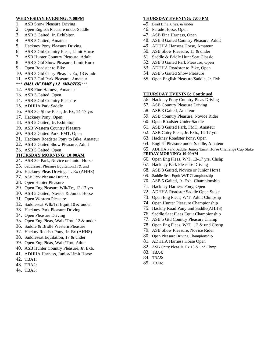#### **WEDNESDAY EVENING: 7:00PM**

- 1. ASB Show Pleasure Driving
- 2. Open English Pleasure under Saddle
- 3. ASB 3 Gaited, Jr. Exhibitor
- 4. ASB 5 Gaited, Amateur
- 5. Hackney Pony Pleasure Driving
- 6. ASB 3 Gtd Country Pleas, Limit Horse
- 7. ASB Hunter Country Pleasure, Adult
- 8. ASB 3 Gtd Show Pleasure, Limit Horse
- 9. Open Roadster to Bike
- 10. ASB 3 Gtd Cntry Pleas Jr. Ex, 13 & udr

# 11. ASB 3 Gtd Park Pleasure, Amateur

# \*\*\* **HALL OF FAME (12 MINUTES)\*\*\***

- 12. ASB Fine Harness, Amateur
- 13. ASB 3 Gaited, Open
- 14. ASB 5 Gtd Country Pleasure
- 15. ADHHA Park Saddle
- 16. ASB 3G Show Pleas, Jr. Ex, 14-17 yrs
- 17. Hackney Pony, Open
- 18. ASB 5 Gaited, Jr. Exhibitor
- 19. ASB Western Country Pleasure
- 20. ASB 3 Gaited Park, FMT, Open
- 21. Hackney Roadster Pony to Bike, Amateur
- 22. ASB 3 Gaited Show Pleasure, Adult
- 23. ASB 5 Gaited, Open

# **THURSDAY MORNING: 10:00AM**

- 24. ASB 3G Park, Novice or Junior Horse
- 25. Saddleseat Pleasure Equitation,17& und
- 26. Hackney Pleas Driving, Jr. Ex (AHHS)
- 27. ASB Park Pleasure Driving
- 28. Open Hunter Pleasure
- 29. Open Eng Pleasure,Wlk/Trt, 13-17 yrs
- 30. ASB 5 Gaited, Novice & Junior Horse
- 31. Open Western Pleasure
- 32. Saddleseat Wlk/Trt Equit,10 & under
- 33. Hackney Park Pleasure Driving
- 34. Open Pleasure Driving
- 35. Open Eng Pleas, Walk/Trot, 12 & under
- 36. Saddle & Bridle Western Pleasure
- 37. Hackny Roadstr Pony, Jr. Ex (AHHS)
- 38. Saddleseat Equitation, 17 & under
- 39. Open Eng Pleas, Walk/Trot, Adult
- 40. ASB Hunter Country Pleasure, Jr. Exb.
- 41. ADHHA Harness, Junior/Limit Horse
- 42. TBA1:
- 43. TBA2:
- 44. TBA3:

## **THURSDAY EVENING: 7:00 PM**

- 45. Lead Line, 6 yrs. & under
- 46. Parade Horse, Open
- 47. ASB Fine Harness, Open
- 48. ASB 3 Gaited Country Pleasure, Adult
- 49. ADHHA Harness Horse, Amateur
- 50. ASB Show Pleasure, 13 & under
- 51. Saddle & Bridle Hunt Seat Classic
- 52. ASB 3 Gaited Park Pleasure, Open
- 53. ADHHA Roadster to Bike, Open
- 54. ASB 5 Gaited Show Pleasure
- 55. Open English Pleasure/Saddle, Jr. Exh

## **THURSDAY EVENING: Continued**

- 56. Hackney Pony Country Pleas Driving
- 57. ASB Country Pleasure Driving
- 58. ASB 3 Gaited, Amateur
- 59. ASB Country Pleasure, Novice Rider
- 60. Open Roadster Under Saddle
- 61. ASB 3 Gaited Park, FMT, Amateur
- 62. ASB Cntry Pleas, Jr. Exb., 14-17 yrs
- 63. Hackney Roadster Pony, Open
- 64. English Pleasure under Saddle, Amateur
- 65. ADHHA Park Saddle, Junior/Limit Horse Challenge Cup Stake

## **FRIDAY MORNING: 10:00AM**

- 66. Open Eng Pleas, W/T, 13-17 yrs. Chshp
- 67. Hackney Park Pleasure Driving
- 68. ASB 3 Gaited, Novice or Junior Horse
- 69. Saddle Seat Equit W/T Championship
- 70. ASB 5 Gaited, Jr. Exh. Championship
- 71. Hackney Harness Pony, Open
- 72. ADHHA Roadster Saddle Open Stake
- 73. Open Eng Pleas, W/T, Adult Chmpshp
- 74. Open Hunter Pleasure Championship
- 75. Hackny Road Pony und Saddle(AHHS)
- 76. Saddle Seat Pleas Equit Championship
- 77. ASB 5 Gtd Country Pleasure Champ
- 78. Open Eng Pleas, W/T 12 & und Chshp
- 79. ASB Show Pleasure, Novice Rider
- 80. Open Pleasure Driving Championship
- 81. ADHHA Harness Horse Open
- 82. ASB Cntry Pleas Jr. Ex 13 & und Chmp
- 83. TBA4:
- 84. TBA5:
- 85. TBA6: